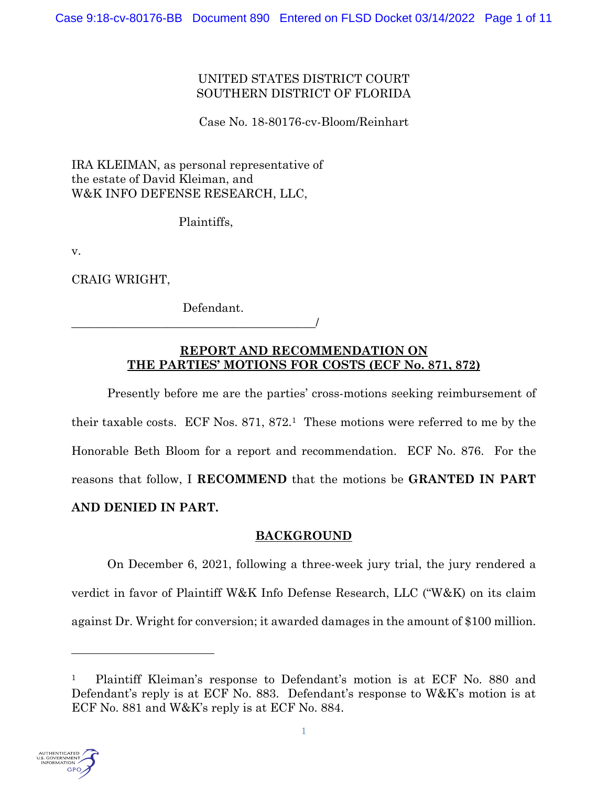# UNITED STATES DISTRICT COURT SOUTHERN DISTRICT OF FLORIDA

Case No. 18-80176-cv-Bloom/Reinhart

IRA KLEIMAN, as personal representative of the estate of David Kleiman, and W&K INFO DEFENSE RESEARCH, LLC,

Plaintiffs,

v.

CRAIG WRIGHT,

Defendant.

\_\_\_\_\_\_\_\_\_\_\_\_\_\_\_\_\_\_\_\_\_\_\_\_\_\_\_\_\_\_\_\_\_\_\_\_\_\_\_\_\_/

# **REPORT AND RECOMMENDATION ON THE PARTIES' MOTIONS FOR COSTS (ECF No. 871, 872)**

Presently before me are the parties' cross-motions seeking reimbursement of their taxable costs. ECF Nos. 871, 872.1 These motions were referred to me by the Honorable Beth Bloom for a report and recommendation. ECF No. 876. For the reasons that follow, I **RECOMMEND** that the motions be **GRANTED IN PART AND DENIED IN PART.**

# **BACKGROUND**

On December 6, 2021, following a three-week jury trial, the jury rendered a verdict in favor of Plaintiff W&K Info Defense Research, LLC ("W&K) on its claim against Dr. Wright for conversion; it awarded damages in the amount of \$100 million.

<sup>1</sup> Plaintiff Kleiman's response to Defendant's motion is at ECF No. 880 and Defendant's reply is at ECF No. 883. Defendant's response to W&K's motion is at ECF No. 881 and W&K's reply is at ECF No. 884.

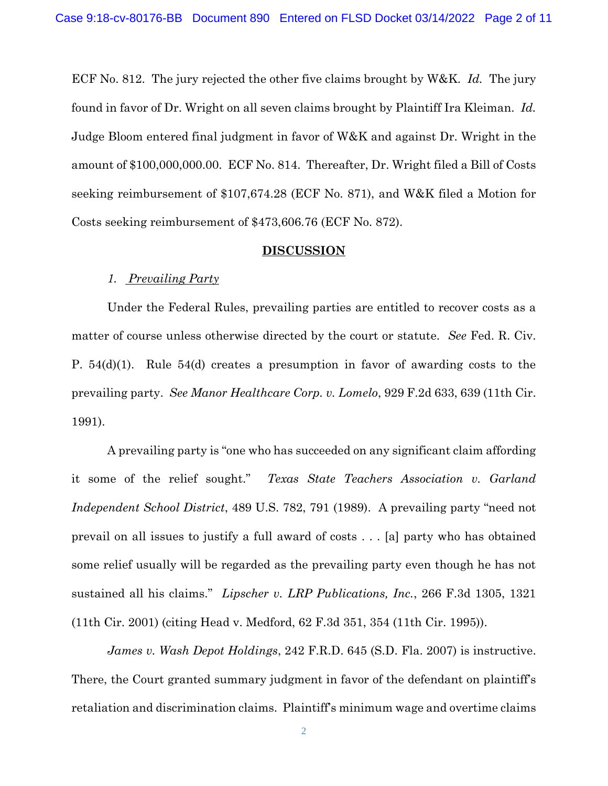ECF No. 812. The jury rejected the other five claims brought by W&K. *Id.* The jury found in favor of Dr. Wright on all seven claims brought by Plaintiff Ira Kleiman. *Id.* Judge Bloom entered final judgment in favor of W&K and against Dr. Wright in the amount of \$100,000,000.00. ECF No. 814. Thereafter, Dr. Wright filed a Bill of Costs seeking reimbursement of \$107,674.28 (ECF No. 871), and W&K filed a Motion for Costs seeking reimbursement of \$473,606.76 (ECF No. 872).

#### **DISCUSSION**

## *1. Prevailing Party*

Under the Federal Rules, prevailing parties are entitled to recover costs as a matter of course unless otherwise directed by the court or statute. *See* Fed. R. Civ. P. 54(d)(1). Rule 54(d) creates a presumption in favor of awarding costs to the prevailing party. *See Manor Healthcare Corp. v. Lomelo*, 929 F.2d 633, 639 (11th Cir. 1991).

A prevailing party is "one who has succeeded on any significant claim affording it some of the relief sought." *Texas State Teachers Association v. Garland Independent School District*, 489 U.S. 782, 791 (1989). A prevailing party "need not prevail on all issues to justify a full award of costs . . . [a] party who has obtained some relief usually will be regarded as the prevailing party even though he has not sustained all his claims." *Lipscher v. LRP Publications, Inc.*, 266 F.3d 1305, 1321 (11th Cir. 2001) (citing Head v. Medford, 62 F.3d 351, 354 (11th Cir. 1995)).

*James v. Wash Depot Holdings*, 242 F.R.D. 645 (S.D. Fla. 2007) is instructive. There, the Court granted summary judgment in favor of the defendant on plaintiff's retaliation and discrimination claims. Plaintiff's minimum wage and overtime claims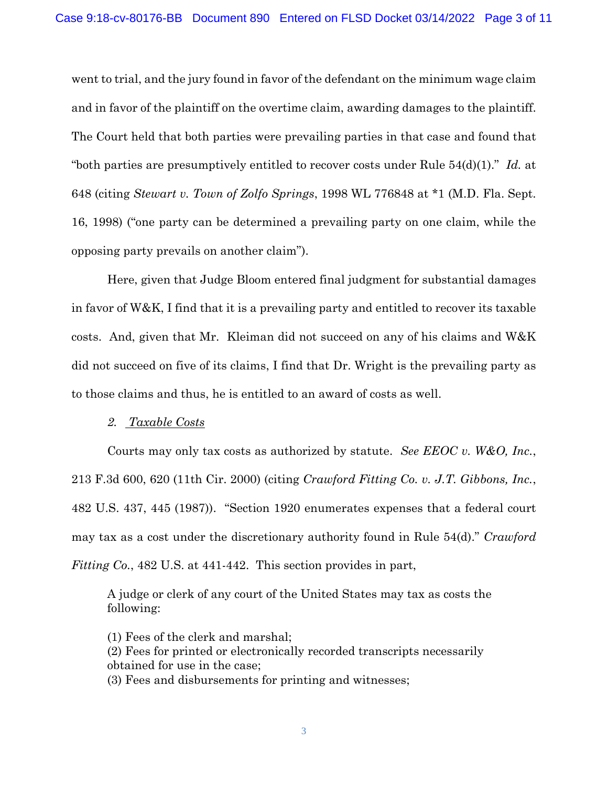went to trial, and the jury found in favor of the defendant on the minimum wage claim and in favor of the plaintiff on the overtime claim, awarding damages to the plaintiff. The Court held that both parties were prevailing parties in that case and found that "both parties are presumptively entitled to recover costs under Rule 54(d)(1)." *Id.* at 648 (citing *Stewart v. Town of Zolfo Springs*, 1998 WL 776848 at \*1 (M.D. Fla. Sept. 16, 1998) ("one party can be determined a prevailing party on one claim, while the opposing party prevails on another claim").

Here, given that Judge Bloom entered final judgment for substantial damages in favor of W&K, I find that it is a prevailing party and entitled to recover its taxable costs. And, given that Mr. Kleiman did not succeed on any of his claims and W&K did not succeed on five of its claims, I find that Dr. Wright is the prevailing party as to those claims and thus, he is entitled to an award of costs as well.

#### *2. Taxable Costs*

Courts may only tax costs as authorized by statute. *See EEOC v. W&O, Inc.*, 213 F.3d 600, 620 (11th Cir. 2000) (citing *Crawford Fitting Co. v. J.T. Gibbons, Inc.*, 482 U.S. 437, 445 (1987)). "Section 1920 enumerates expenses that a federal court may tax as a cost under the discretionary authority found in Rule 54(d)." *Crawford Fitting Co.*, 482 U.S. at 441-442. This section provides in part,

A judge or clerk of any court of the United States may tax as costs the following:

(1) Fees of the clerk and marshal; (2) Fees for printed or electronically recorded transcripts necessarily obtained for use in the case; (3) Fees and disbursements for printing and witnesses;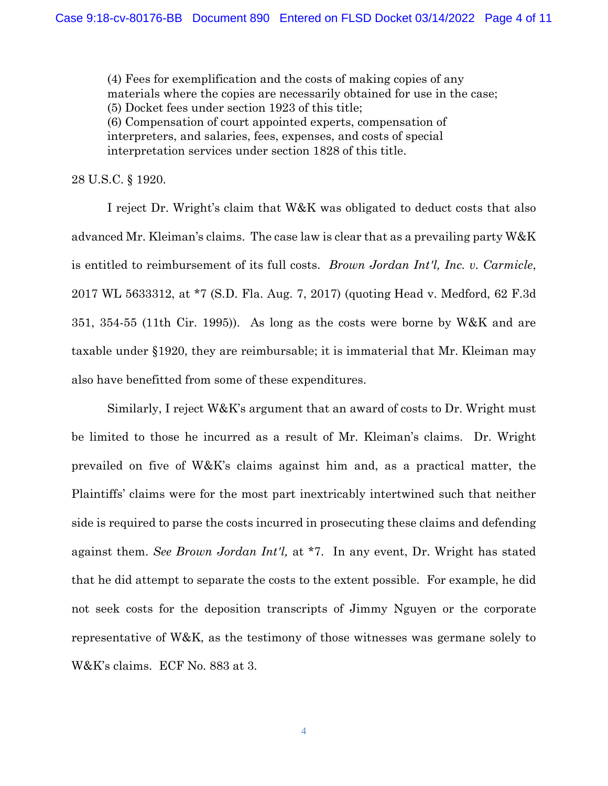(4) Fees for exemplification and the costs of making copies of any materials where the copies are necessarily obtained for use in the case; (5) Docket fees under section 1923 of this title; (6) Compensation of court appointed experts, compensation of interpreters, and salaries, fees, expenses, and costs of special interpretation services under section 1828 of this title.

28 U.S.C. § 1920.

I reject Dr. Wright's claim that W&K was obligated to deduct costs that also advanced Mr. Kleiman's claims. The case law is clear that as a prevailing party W&K is entitled to reimbursement of its full costs. *Brown Jordan Int'l, Inc. v. Carmicle*, 2017 WL 5633312, at \*7 (S.D. Fla. Aug. 7, 2017) (quoting Head v. Medford, 62 F.3d 351, 354-55 (11th Cir. 1995)). As long as the costs were borne by W&K and are taxable under §1920, they are reimbursable; it is immaterial that Mr. Kleiman may also have benefitted from some of these expenditures.

Similarly, I reject W&K's argument that an award of costs to Dr. Wright must be limited to those he incurred as a result of Mr. Kleiman's claims. Dr. Wright prevailed on five of W&K's claims against him and, as a practical matter, the Plaintiffs' claims were for the most part inextricably intertwined such that neither side is required to parse the costs incurred in prosecuting these claims and defending against them. *See Brown Jordan Int'l,* at \*7. In any event, Dr. Wright has stated that he did attempt to separate the costs to the extent possible. For example, he did not seek costs for the deposition transcripts of Jimmy Nguyen or the corporate representative of W&K, as the testimony of those witnesses was germane solely to W&K's claims. ECF No. 883 at 3.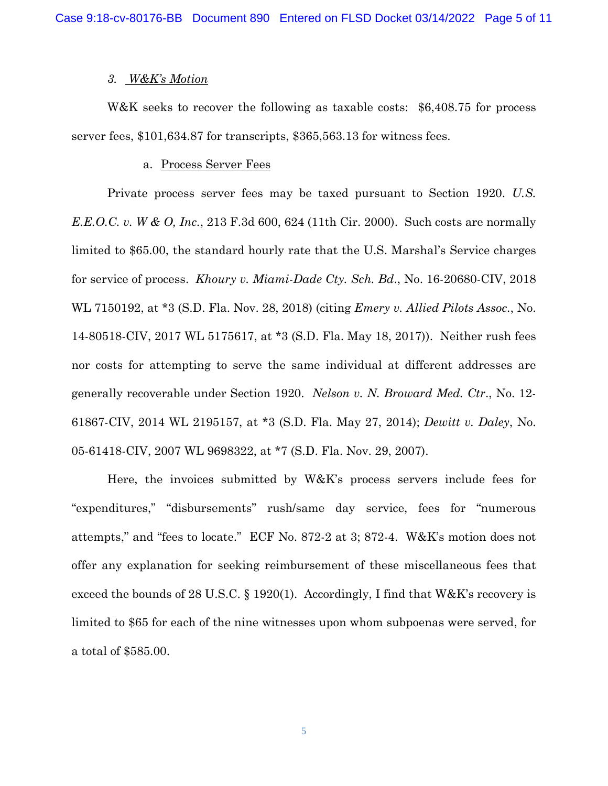#### *3. W&K's Motion*

W&K seeks to recover the following as taxable costs: \$6,408.75 for process server fees, \$101,634.87 for transcripts, \$365,563.13 for witness fees.

## a. Process Server Fees

Private process server fees may be taxed pursuant to Section 1920. *U.S. E.E.O.C. v. W & O, Inc.*, 213 F.3d 600, 624 (11th Cir. 2000). Such costs are normally limited to \$65.00, the standard hourly rate that the U.S. Marshal's Service charges for service of process. *Khoury v. Miami-Dade Cty. Sch. Bd*., No. 16-20680-CIV, 2018 WL 7150192, at \*3 (S.D. Fla. Nov. 28, 2018) (citing *Emery v. Allied Pilots Assoc.*, No. 14-80518-CIV, 2017 WL 5175617, at \*3 (S.D. Fla. May 18, 2017)). Neither rush fees nor costs for attempting to serve the same individual at different addresses are generally recoverable under Section 1920. *Nelson v. N. Broward Med. Ctr*., No. 12- 61867-CIV, 2014 WL 2195157, at \*3 (S.D. Fla. May 27, 2014); *Dewitt v. Daley*, No. 05-61418-CIV, 2007 WL 9698322, at \*7 (S.D. Fla. Nov. 29, 2007).

Here, the invoices submitted by W&K's process servers include fees for "expenditures," "disbursements" rush/same day service, fees for "numerous attempts," and "fees to locate." ECF No. 872-2 at 3; 872-4. W&K's motion does not offer any explanation for seeking reimbursement of these miscellaneous fees that exceed the bounds of 28 U.S.C. § 1920(1). Accordingly, I find that W&K's recovery is limited to \$65 for each of the nine witnesses upon whom subpoenas were served, for a total of \$585.00.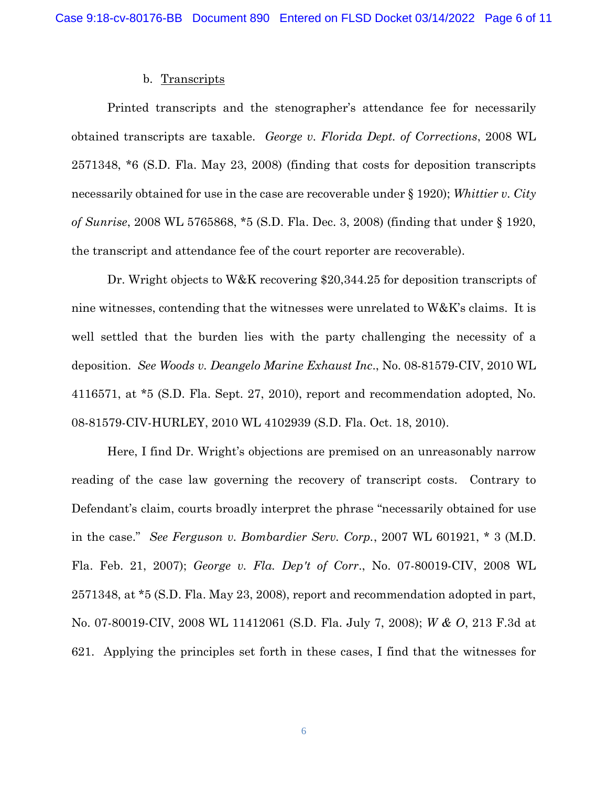#### b. Transcripts

Printed transcripts and the stenographer's attendance fee for necessarily obtained transcripts are taxable. *George v. Florida Dept. of Corrections*, 2008 WL 2571348, \*6 (S.D. Fla. May 23, 2008) (finding that costs for deposition transcripts necessarily obtained for use in the case are recoverable under § 1920); *Whittier v. City of Sunrise*, 2008 WL 5765868, \*5 (S.D. Fla. Dec. 3, 2008) (finding that under § 1920, the transcript and attendance fee of the court reporter are recoverable).

Dr. Wright objects to W&K recovering \$20,344.25 for deposition transcripts of nine witnesses, contending that the witnesses were unrelated to  $W\&K$ 's claims. It is well settled that the burden lies with the party challenging the necessity of a deposition. *See Woods v. Deangelo Marine Exhaust Inc*., No. 08-81579-CIV, 2010 WL 4116571, at \*5 (S.D. Fla. Sept. 27, 2010), report and recommendation adopted, No. 08-81579-CIV-HURLEY, 2010 WL 4102939 (S.D. Fla. Oct. 18, 2010).

Here, I find Dr. Wright's objections are premised on an unreasonably narrow reading of the case law governing the recovery of transcript costs. Contrary to Defendant's claim, courts broadly interpret the phrase "necessarily obtained for use in the case." *See Ferguson v. Bombardier Serv. Corp.*, 2007 WL 601921, \* 3 (M.D. Fla. Feb. 21, 2007); *George v. Fla. Dep't of Corr*., No. 07-80019-CIV, 2008 WL 2571348, at \*5 (S.D. Fla. May 23, 2008), report and recommendation adopted in part, No. 07-80019-CIV, 2008 WL 11412061 (S.D. Fla. July 7, 2008); *W & O*, 213 F.3d at 621. Applying the principles set forth in these cases, I find that the witnesses for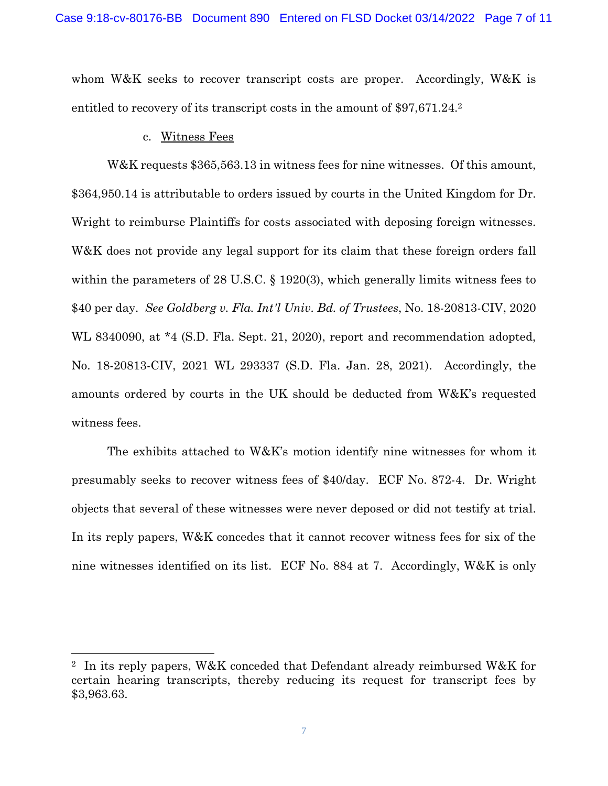whom W&K seeks to recover transcript costs are proper. Accordingly, W&K is entitled to recovery of its transcript costs in the amount of \$97,671.24.<sup>2</sup>

#### c. Witness Fees

W&K requests \$365,563.13 in witness fees for nine witnesses. Of this amount, \$364,950.14 is attributable to orders issued by courts in the United Kingdom for Dr. Wright to reimburse Plaintiffs for costs associated with deposing foreign witnesses. W&K does not provide any legal support for its claim that these foreign orders fall within the parameters of 28 U.S.C. § 1920(3), which generally limits witness fees to \$40 per day. *See Goldberg v. Fla. Int'l Univ. Bd. of Trustees*, No. 18-20813-CIV, 2020 WL 8340090, at \*4 (S.D. Fla. Sept. 21, 2020), report and recommendation adopted, No. 18-20813-CIV, 2021 WL 293337 (S.D. Fla. Jan. 28, 2021). Accordingly, the amounts ordered by courts in the UK should be deducted from W&K's requested witness fees.

The exhibits attached to W&K's motion identify nine witnesses for whom it presumably seeks to recover witness fees of \$40/day. ECF No. 872-4. Dr. Wright objects that several of these witnesses were never deposed or did not testify at trial. In its reply papers, W&K concedes that it cannot recover witness fees for six of the nine witnesses identified on its list. ECF No. 884 at 7. Accordingly, W&K is only

<sup>2</sup> In its reply papers, W&K conceded that Defendant already reimbursed W&K for certain hearing transcripts, thereby reducing its request for transcript fees by \$3,963.63.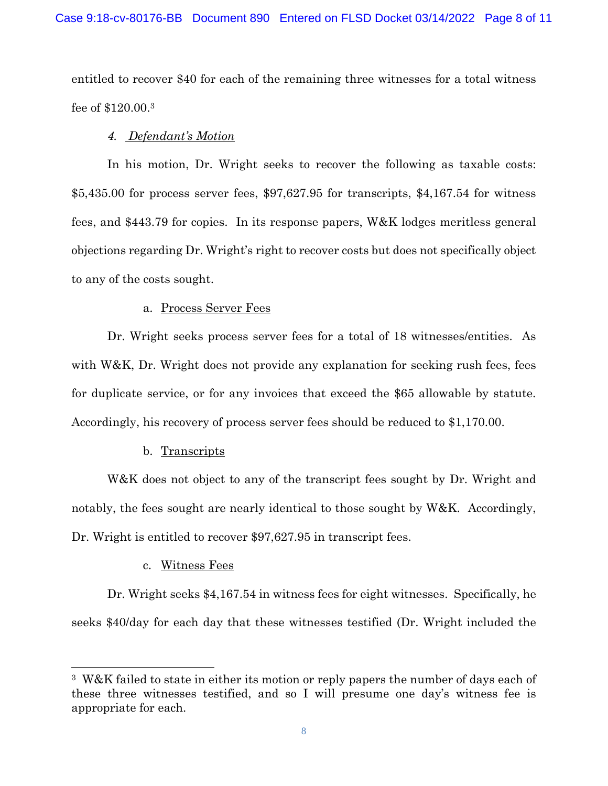entitled to recover \$40 for each of the remaining three witnesses for a total witness fee of \$120.00.<sup>3</sup>

# *4. Defendant's Motion*

In his motion, Dr. Wright seeks to recover the following as taxable costs: \$5,435.00 for process server fees, \$97,627.95 for transcripts, \$4,167.54 for witness fees, and \$443.79 for copies. In its response papers, W&K lodges meritless general objections regarding Dr. Wright's right to recover costs but does not specifically object to any of the costs sought.

# a. Process Server Fees

Dr. Wright seeks process server fees for a total of 18 witnesses/entities. As with W&K, Dr. Wright does not provide any explanation for seeking rush fees, fees for duplicate service, or for any invoices that exceed the \$65 allowable by statute. Accordingly, his recovery of process server fees should be reduced to \$1,170.00.

## b. Transcripts

W&K does not object to any of the transcript fees sought by Dr. Wright and notably, the fees sought are nearly identical to those sought by W&K. Accordingly, Dr. Wright is entitled to recover \$97,627.95 in transcript fees.

## c. Witness Fees

Dr. Wright seeks \$4,167.54 in witness fees for eight witnesses. Specifically, he seeks \$40/day for each day that these witnesses testified (Dr. Wright included the

<sup>3</sup> W&K failed to state in either its motion or reply papers the number of days each of these three witnesses testified, and so I will presume one day's witness fee is appropriate for each.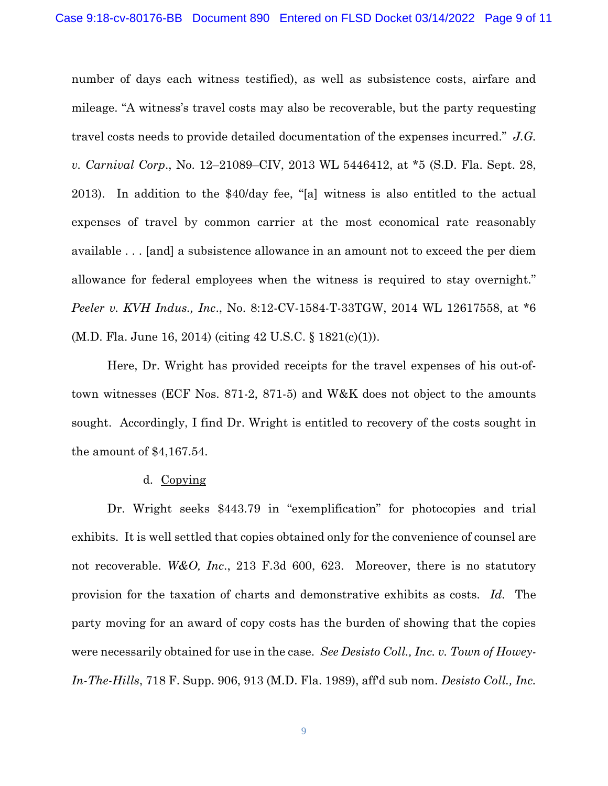number of days each witness testified), as well as subsistence costs, airfare and mileage. "A witness's travel costs may also be recoverable, but the party requesting travel costs needs to provide detailed documentation of the expenses incurred." *J.G. v. Carnival Corp*., No. 12–21089–CIV, 2013 WL 5446412, at \*5 (S.D. Fla. Sept. 28, 2013). In addition to the \$40/day fee, "[a] witness is also entitled to the actual expenses of travel by common carrier at the most economical rate reasonably available . . . [and] a subsistence allowance in an amount not to exceed the per diem allowance for federal employees when the witness is required to stay overnight." *Peeler v. KVH Indus., Inc*., No. 8:12-CV-1584-T-33TGW, 2014 WL 12617558, at \*6 (M.D. Fla. June 16, 2014) (citing 42 U.S.C. § 1821(c)(1)).

Here, Dr. Wright has provided receipts for the travel expenses of his out-oftown witnesses (ECF Nos. 871-2, 871-5) and W&K does not object to the amounts sought. Accordingly, I find Dr. Wright is entitled to recovery of the costs sought in the amount of \$4,167.54.

#### d. Copying

Dr. Wright seeks \$443.79 in "exemplification" for photocopies and trial exhibits. It is well settled that copies obtained only for the convenience of counsel are not recoverable. *W&O, Inc*., 213 F.3d 600, 623. Moreover, there is no statutory provision for the taxation of charts and demonstrative exhibits as costs. *Id.* The party moving for an award of copy costs has the burden of showing that the copies were necessarily obtained for use in the case. *See Desisto Coll., Inc. v. Town of Howey-In-The-Hills*, 718 F. Supp. 906, 913 (M.D. Fla. 1989), aff'd sub nom. *Desisto Coll., Inc.*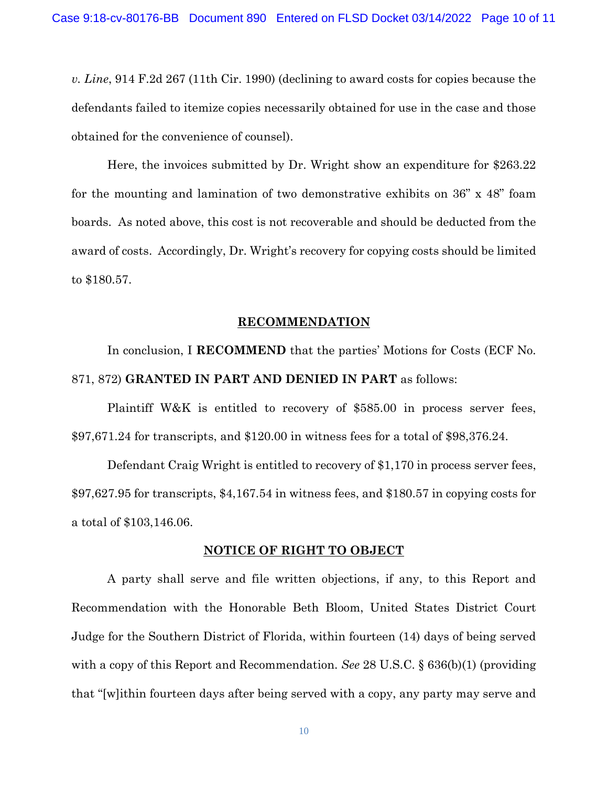*v. Line*, 914 F.2d 267 (11th Cir. 1990) (declining to award costs for copies because the defendants failed to itemize copies necessarily obtained for use in the case and those obtained for the convenience of counsel).

Here, the invoices submitted by Dr. Wright show an expenditure for \$263.22 for the mounting and lamination of two demonstrative exhibits on 36" x 48" foam boards. As noted above, this cost is not recoverable and should be deducted from the award of costs. Accordingly, Dr. Wright's recovery for copying costs should be limited to \$180.57.

#### **RECOMMENDATION**

In conclusion, I **RECOMMEND** that the parties' Motions for Costs (ECF No. 871, 872) **GRANTED IN PART AND DENIED IN PART** as follows:

Plaintiff W&K is entitled to recovery of \$585.00 in process server fees, \$97,671.24 for transcripts, and \$120.00 in witness fees for a total of \$98,376.24.

Defendant Craig Wright is entitled to recovery of \$1,170 in process server fees, \$97,627.95 for transcripts, \$4,167.54 in witness fees, and \$180.57 in copying costs for a total of \$103,146.06.

#### **NOTICE OF RIGHT TO OBJECT**

A party shall serve and file written objections, if any, to this Report and Recommendation with the Honorable Beth Bloom, United States District Court Judge for the Southern District of Florida, within fourteen (14) days of being served with a copy of this Report and Recommendation. *See* 28 U.S.C. § 636(b)(1) (providing that "[w]ithin fourteen days after being served with a copy, any party may serve and